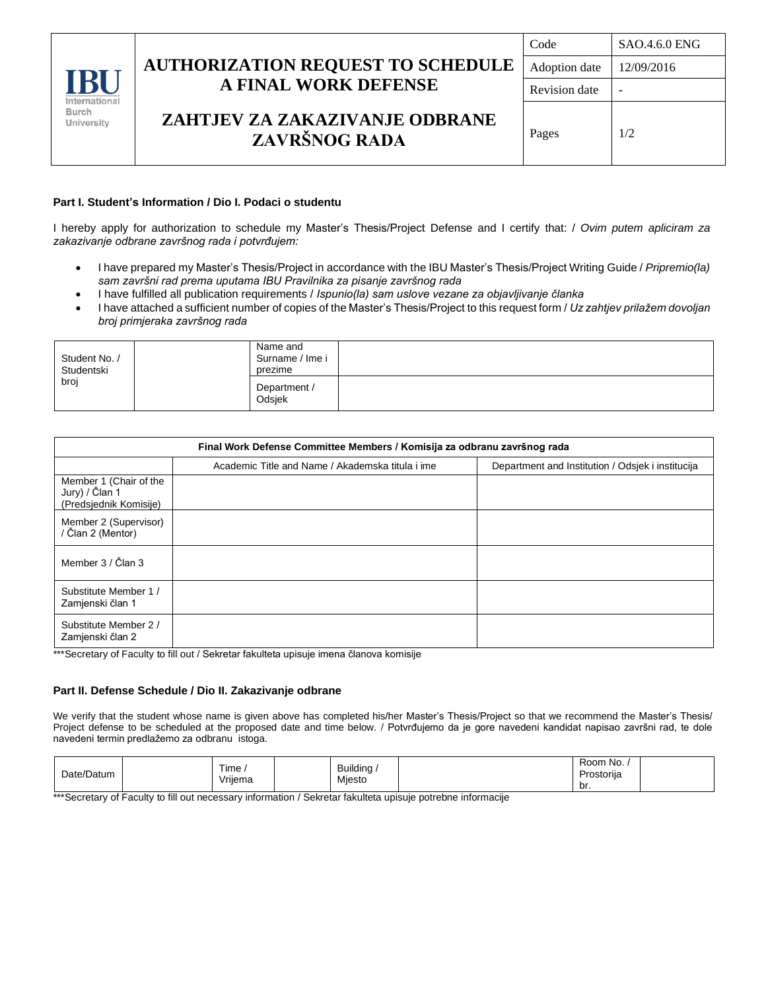|                                                    |                                                 | Code          | <b>SAO.4.6.0 ENG</b> |  |
|----------------------------------------------------|-------------------------------------------------|---------------|----------------------|--|
|                                                    | <b>AUTHORIZATION REQUEST TO SCHEDULE</b>        | Adoption date | 12/09/2016           |  |
| <b>IBI</b><br>International<br>Burch<br>University | <b>A FINAL WORK DEFENSE</b>                     | Revision date |                      |  |
|                                                    | ZAHTJEV ZA ZAKAZIVANJE ODBRANE<br>ZAVRŠNOG RADA | Pages         | 1/2                  |  |

### **Part I. Student's Information / Dio I. Podaci o studentu**

I hereby apply for authorization to schedule my Master's Thesis/Project Defense and I certify that: / *Ovim putem apliciram za zakazivanje odbrane završnog rada i potvrđujem:*

- I have prepared my Master's Thesis/Project in accordance with the IBU Master's Thesis/Project Writing Guide / *Pripremio(la) sam završni rad prema uputama IBU Pravilnika za pisanje završnog rada*
- I have fulfilled all publication requirements / *Ispunio(la) sam uslove vezane za objavljivanje članka*
- I have attached a sufficient number of copies of the Master's Thesis/Project to this request form / *Uz zahtjev prilažem dovoljan broj primjeraka završnog rada*

| Student No. /<br>Studentski<br>broj |  | Name and<br>Surname / Ime i<br>prezime |  |
|-------------------------------------|--|----------------------------------------|--|
|                                     |  | Department /<br>Odsjek                 |  |

| Final Work Defense Committee Members / Komisija za odbranu završnog rada |                                                  |                                                   |  |  |  |  |
|--------------------------------------------------------------------------|--------------------------------------------------|---------------------------------------------------|--|--|--|--|
|                                                                          | Academic Title and Name / Akademska titula i ime | Department and Institution / Odsiek i institucija |  |  |  |  |
| Member 1 (Chair of the<br>Jury) / Član 1<br>(Predsjednik Komisije)       |                                                  |                                                   |  |  |  |  |
| Member 2 (Supervisor)<br>/ Član 2 (Mentor)                               |                                                  |                                                   |  |  |  |  |
| Member 3 / Član 3                                                        |                                                  |                                                   |  |  |  |  |
| Substitute Member 1 /<br>Zamjenski član 1                                |                                                  |                                                   |  |  |  |  |
| Substitute Member 2 /<br>Zamjenski član 2                                |                                                  |                                                   |  |  |  |  |

\*\*\*Secretary of Faculty to fill out / Sekretar fakulteta upisuje imena članova komisije

#### **Part II. Defense Schedule / Dio II. Zakazivanje odbrane**

We verify that the student whose name is given above has completed his/her Master's Thesis/Project so that we recommend the Master's Thesis/ Project defense to be scheduled at the proposed date and time below. / Potvrđujemo da je gore navedeni kandidat napisao završni rad, te dole navedeni termin predlažemo za odbranu istoga.

| Date/Datum | Time,<br>Vrijema | Building<br>Mjesto | Room No.<br>Prostorija |  |
|------------|------------------|--------------------|------------------------|--|
|            |                  |                    | br.                    |  |

\*\*\*Secretary of Faculty to fill out necessary information / Sekretar fakulteta upisuje potrebne informacije